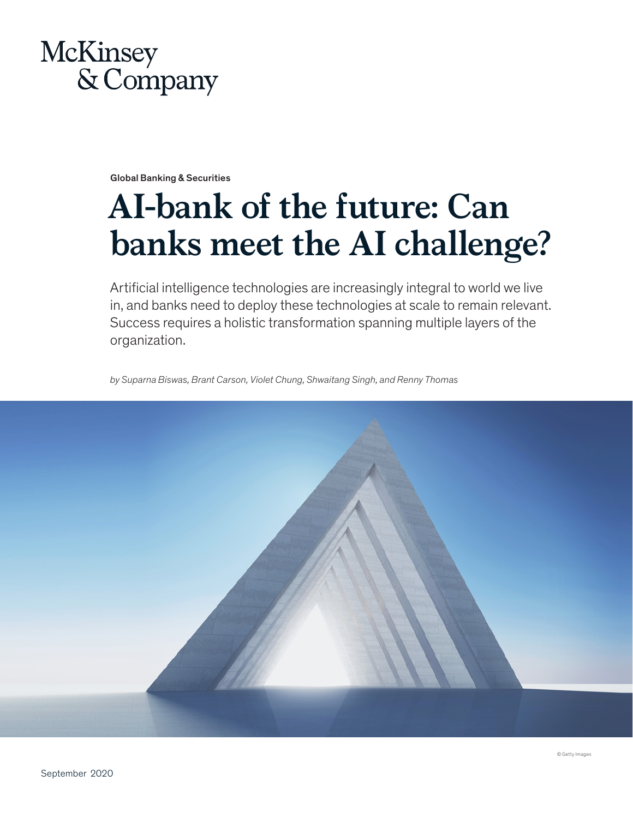

Global Banking & Securities

# **AI-bank of the future: Can banks meet the AI challenge?**

Artificial intelligence technologies are increasingly integral to world we live in, and banks need to deploy these technologies at scale to remain relevant. Success requires a holistic transformation spanning multiple layers of the organization.

*by Suparna Biswas, Brant Carson, Violet Chung, Shwaitang Singh, and Renny Thomas* 

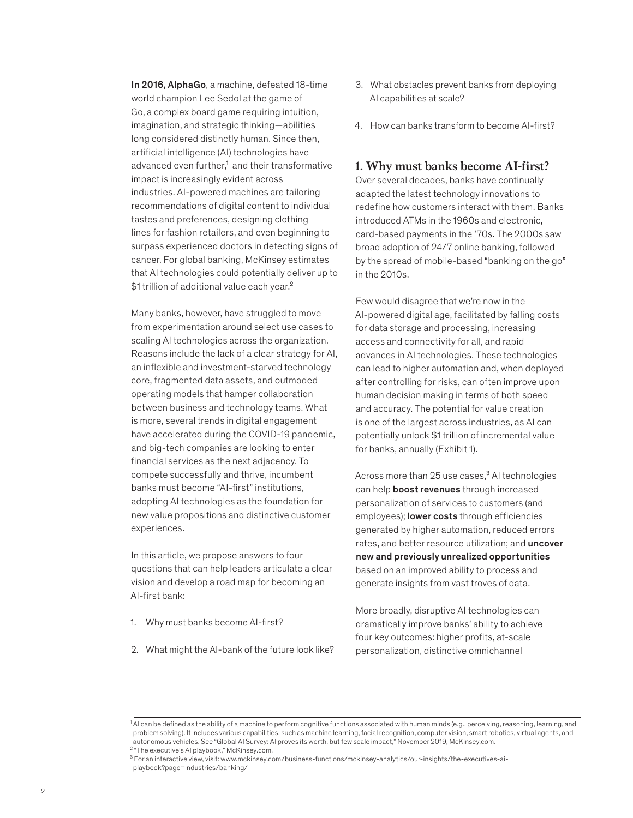In 2016, AlphaGo, a machine, defeated 18-time world champion Lee Sedol at the game of Go, a complex board game requiring intuition, imagination, and strategic thinking—abilities long considered distinctly human. Since then, artificial intelligence (AI) technologies have advanced even further,<sup>1</sup> and their transformative impact is increasingly evident across industries. AI-powered machines are tailoring recommendations of digital content to individual tastes and preferences, designing clothing lines for fashion retailers, and even beginning to surpass experienced doctors in detecting signs of cancer. For global banking, McKinsey estimates that AI technologies could potentially deliver up to \$1 trillion of additional value each year.<sup>2</sup>

Many banks, however, have struggled to move from experimentation around select use cases to scaling AI technologies across the organization. Reasons include the lack of a clear strategy for AI, an inflexible and investment-starved technology core, fragmented data assets, and outmoded operating models that hamper collaboration between business and technology teams. What is more, several trends in digital engagement have accelerated during the COVID-19 pandemic, and big-tech companies are looking to enter financial services as the next adjacency. To compete successfully and thrive, incumbent banks must become "AI-first" institutions, adopting AI technologies as the foundation for new value propositions and distinctive customer experiences.

In this article, we propose answers to four questions that can help leaders articulate a clear vision and develop a road map for becoming an AI-first bank:

- 1. Why must banks become AI-first?
- 2. What might the AI-bank of the future look like?
- 3. What obstacles prevent banks from deploying AI capabilities at scale?
- 4. How can banks transform to become AI-first?

# **1. Why must banks become AI-first?**

Over several decades, banks have continually adapted the latest technology innovations to redefine how customers interact with them. Banks introduced ATMs in the 1960s and electronic, card-based payments in the '70s. The 2000s saw broad adoption of 24/7 online banking, followed by the spread of mobile-based "banking on the go" in the 2010s.

Few would disagree that we're now in the AI-powered digital age, facilitated by falling costs for data storage and processing, increasing access and connectivity for all, and rapid advances in AI technologies. These technologies can lead to higher automation and, when deployed after controlling for risks, can often improve upon human decision making in terms of both speed and accuracy. The potential for value creation is one of the largest across industries, as AI can potentially unlock \$1 trillion of incremental value for banks, annually (Exhibit 1).

Across more than  $25$  use cases, $3$  AI technologies can help boost revenues through increased personalization of services to customers (and employees); lower costs through efficiencies generated by higher automation, reduced errors rates, and better resource utilization; and **uncover** new and previously unrealized opportunities based on an improved ability to process and generate insights from vast troves of data.

More broadly, disruptive AI technologies can dramatically improve banks' ability to achieve four key outcomes: higher profits, at-scale personalization, distinctive omnichannel

<sup>&</sup>lt;sup>1</sup> AI can be defined as the ability of a machine to perform cognitive functions associated with human minds (e.g., perceiving, reasoning, learning, and problem solving). It includes various capabilities, such as machine learning, facial recognition, computer vision, smart robotics, virtual agents, and autonomous vehicles. See "Global AI Survey: AI proves its worth, but few scale impact," November 2019, McKinsey.com. <sup>2</sup> "The executive's AI playbook," McKinsey.com.

<sup>3</sup> For an interactive view, visit: www.mckinsey.com/business-functions/mckinsey-analytics/our-insights/the-executives-aiplaybook?page=industries/banking/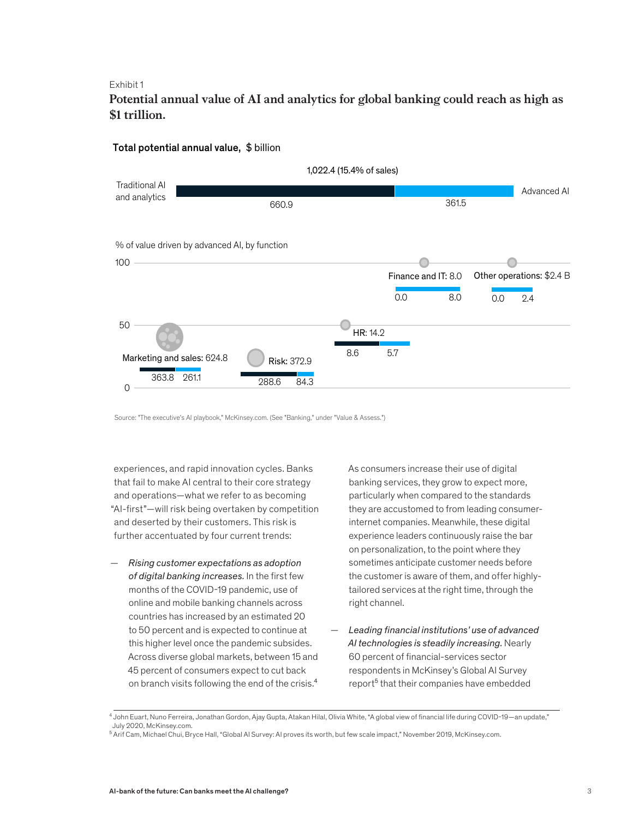# **Potential annual value of AI and analytics for global banking could reach as high as**  Potential annual value of AI and analytics for global banking could reach as \$1 trillion.



# Total potential annual value,\$ billion

Source: "The executive's AI playbook," McKinsey.com. (See "Banking," under "Value & Assess.")

experiences, and rapid innovation cycles. Banks that fail to make AI central to their core strategy and operations—what we refer to as becoming "AI-first"—will risk being overtaken by competition and deserted by their customers. This risk is further accentuated by four current trends:

— *Rising customer expectations as adoption of digital banking increases.* In the first few months of the COVID-19 pandemic, use of online and mobile banking channels across countries has increased by an estimated 20 to 50 percent and is expected to continue at this higher level once the pandemic subsides. Across diverse global markets, between 15 and 45 percent of consumers expect to cut back on branch visits following the end of the crisis.<sup>4</sup>

As consumers increase their use of digital banking services, they grow to expect more, particularly when compared to the standards they are accustomed to from leading consumerinternet companies. Meanwhile, these digital experience leaders continuously raise the bar on personalization, to the point where they sometimes anticipate customer needs before the customer is aware of them, and offer highlytailored services at the right time, through the right channel.

— *Leading financial institutions' use of advanced AI technologies is steadily increasing.* Nearly 60 percent of financial-services sector respondents in McKinsey's Global AI Survey report<sup>5</sup> that their companies have embedded

<sup>4</sup> John Euart, Nuno Ferreira, Jonathan Gordon, Ajay Gupta, Atakan Hilal, Olivia White, "A global view of financial life during COVID-19—an update," July 2020, McKinsey.com.

 $^5$  Arif Cam, Michael Chui, Bryce Hall, "Global AI Survey: AI proves its worth, but few scale impact," November 2019, McKinsey.com.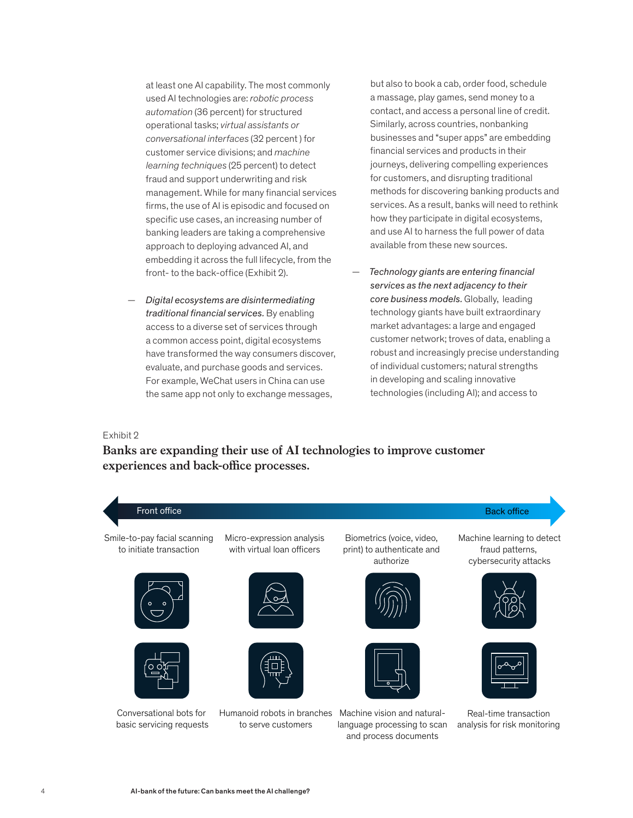at least one AI capability. The most commonly used AI technologies are: *robotic process automation* (36 percent) for structured operational tasks; *virtual assistants or conversational interfaces* (32 percent ) for customer service divisions; and *machine learning techniques* (25 percent) to detect fraud and support underwriting and risk management. While for many financial services firms, the use of AI is episodic and focused on specific use cases, an increasing number of banking leaders are taking a comprehensive approach to deploying advanced AI, and embedding it across the full lifecycle, from the front- to the back-office (Exhibit 2).

— *Digital ecosystems are disintermediating traditional financial services.* By enabling access to a diverse set of services through a common access point, digital ecosystems have transformed the way consumers discover, evaluate, and purchase goods and services. For example, WeChat users in China can use the same app not only to exchange messages,

but also to book a cab, order food, schedule a massage, play games, send money to a contact, and access a personal line of credit. Similarly, across countries, nonbanking businesses and "super apps" are embedding financial services and products in their journeys, delivering compelling experiences for customers, and disrupting traditional methods for discovering banking products and services. As a result, banks will need to rethink how they participate in digital ecosystems. and use AI to harness the full power of data available from these new sources.

— *Technology giants are entering financial services as the next adjacency to their core business models.* Globally, leading technology giants have built extraordinary market advantages: a large and engaged customer network; troves of data, enabling a robust and increasingly precise understanding of individual customers; natural strengths in developing and scaling innovative technologies (including AI); and access to

### Exhibit 2 Exhibit  $2$

# **Banks are expanding their use of AI technologies to improve customer**  Banks are expanding their use of AI technologies to improve customer experiences and back-office processes.

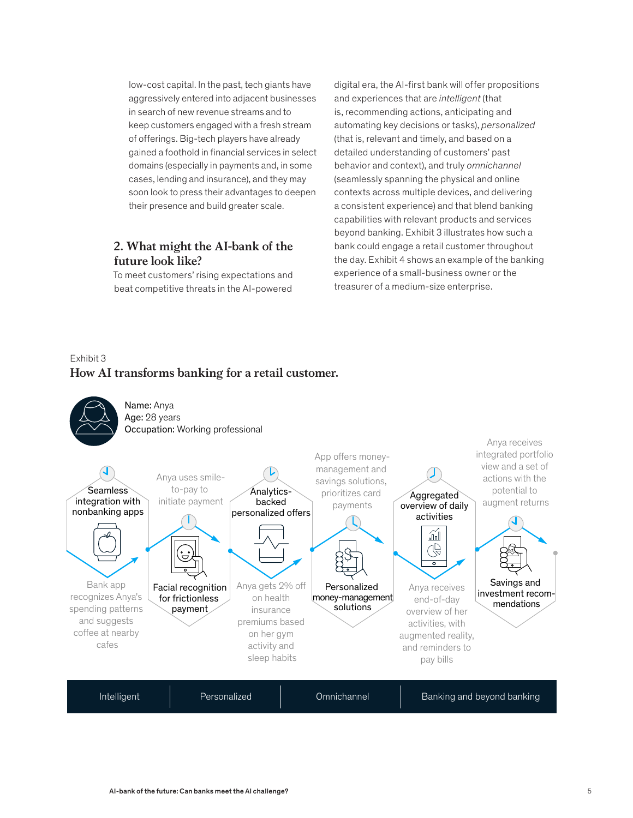low-cost capital. In the past, tech giants have aggressively entered into adjacent businesses in search of new revenue streams and to keep customers engaged with a fresh stream of offerings. Big-tech players have already gained a foothold in financial services in select domains (especially in payments and, in some cases, lending and insurance), and they may soon look to press their advantages to deepen their presence and build greater scale.

# **2. What might the AI-bank of the future look like?**

To meet customers' rising expectations and beat competitive threats in the AI-powered

digital era, the AI-first bank will offer propositions and experiences that are *intelligent* (that is, recommending actions, anticipating and automating key decisions or tasks), *personalized* (that is, relevant and timely, and based on a detailed understanding of customers' past behavior and context), and truly *omnichannel* (seamlessly spanning the physical and online contexts across multiple devices, and delivering a consistent experience) and that blend banking capabilities with relevant products and services beyond banking. Exhibit 3 illustrates how such a bank could engage a retail customer throughout the day. Exhibit 4 shows an example of the banking experience of a small-business owner or the treasurer of a medium-size enterprise.

# Exhibit 3 How AI transforms banking for a retail customer. **How AI transforms banking for a retail customer.**

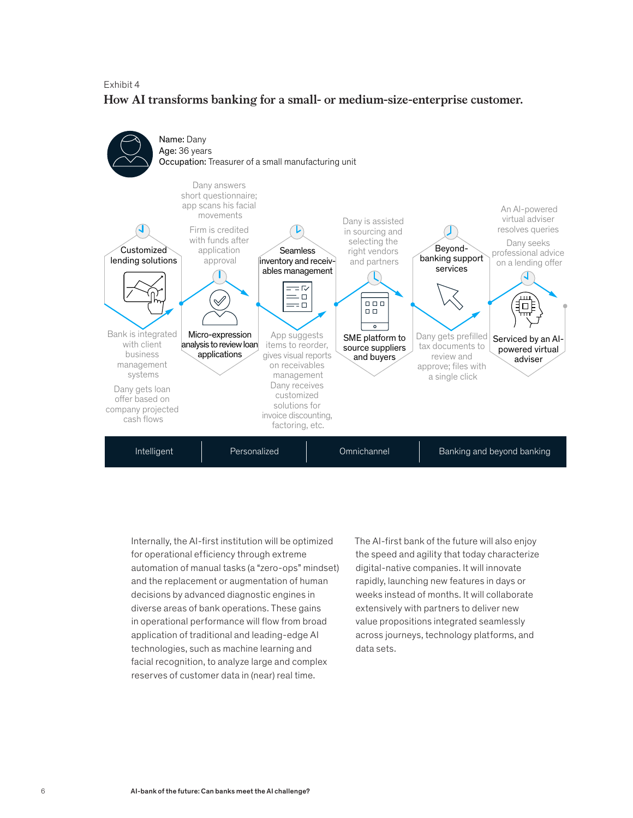# Exhibit 4 **How AI transforms banking for a small- or medium-size-enterprise customer.**



Internally, the AI-first institution will be optimized for operational efficiency through extreme automation of manual tasks (a "zero-ops" mindset) and the replacement or augmentation of human decisions by advanced diagnostic engines in diverse areas of bank operations. These gains in operational performance will flow from broad application of traditional and leading-edge AI technologies, such as machine learning and facial recognition, to analyze large and complex reserves of customer data in (near) real time.

The AI-first bank of the future will also enjoy the speed and agility that today characterize digital-native companies. It will innovate rapidly, launching new features in days or weeks instead of months. It will collaborate extensively with partners to deliver new value propositions integrated seamlessly across journeys, technology platforms, and data sets.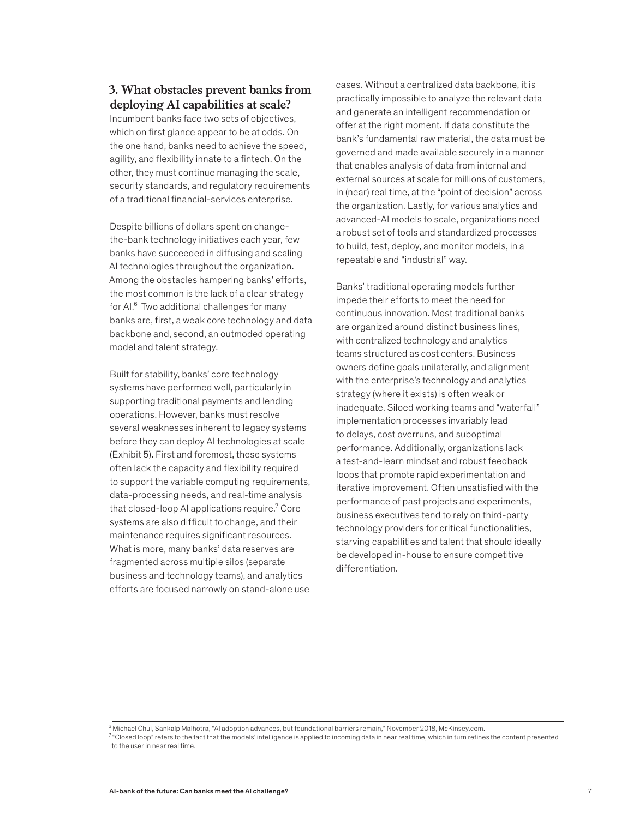# **3. What obstacles prevent banks from deploying AI capabilities at scale?**

Incumbent banks face two sets of objectives, which on first glance appear to be at odds. On the one hand, banks need to achieve the speed, agility, and flexibility innate to a fintech. On the other, they must continue managing the scale, security standards, and regulatory requirements of a traditional financial-services enterprise.

Despite billions of dollars spent on changethe-bank technology initiatives each year, few banks have succeeded in diffusing and scaling AI technologies throughout the organization. Among the obstacles hampering banks' efforts, the most common is the lack of a clear strategy for AI.<sup>6</sup> Two additional challenges for many banks are, first, a weak core technology and data backbone and, second, an outmoded operating model and talent strategy.

Built for stability, banks' core technology systems have performed well, particularly in supporting traditional payments and lending operations. However, banks must resolve several weaknesses inherent to legacy systems before they can deploy AI technologies at scale (Exhibit 5). First and foremost, these systems often lack the capacity and flexibility required to support the variable computing requirements, data-processing needs, and real-time analysis that closed-loop AI applications require.<sup>7</sup> Core systems are also difficult to change, and their maintenance requires significant resources. What is more, many banks' data reserves are fragmented across multiple silos (separate business and technology teams), and analytics efforts are focused narrowly on stand-alone use

cases. Without a centralized data backbone, it is practically impossible to analyze the relevant data and generate an intelligent recommendation or offer at the right moment. If data constitute the bank's fundamental raw material, the data must be governed and made available securely in a manner that enables analysis of data from internal and external sources at scale for millions of customers, in (near) real time, at the "point of decision" across the organization. Lastly, for various analytics and advanced-AI models to scale, organizations need a robust set of tools and standardized processes to build, test, deploy, and monitor models, in a repeatable and "industrial" way.

Banks' traditional operating models further impede their efforts to meet the need for continuous innovation. Most traditional banks are organized around distinct business lines, with centralized technology and analytics teams structured as cost centers. Business owners define goals unilaterally, and alignment with the enterprise's technology and analytics strategy (where it exists) is often weak or inadequate. Siloed working teams and "waterfall" implementation processes invariably lead to delays, cost overruns, and suboptimal performance. Additionally, organizations lack a test-and-learn mindset and robust feedback loops that promote rapid experimentation and iterative improvement. Often unsatisfied with the performance of past projects and experiments, business executives tend to rely on third-party technology providers for critical functionalities, starving capabilities and talent that should ideally be developed in-house to ensure competitive differentiation.

 $^6$  Michael Chui, Sankalp Malhotra, "Al adoption advances, but foundational barriers remain," November 2018, McKinsey.com.

 $^7$  "Closed loop" refers to the fact that the models' intelligence is applied to incoming data in near real time, which in turn refines the content presented to the user in near real time.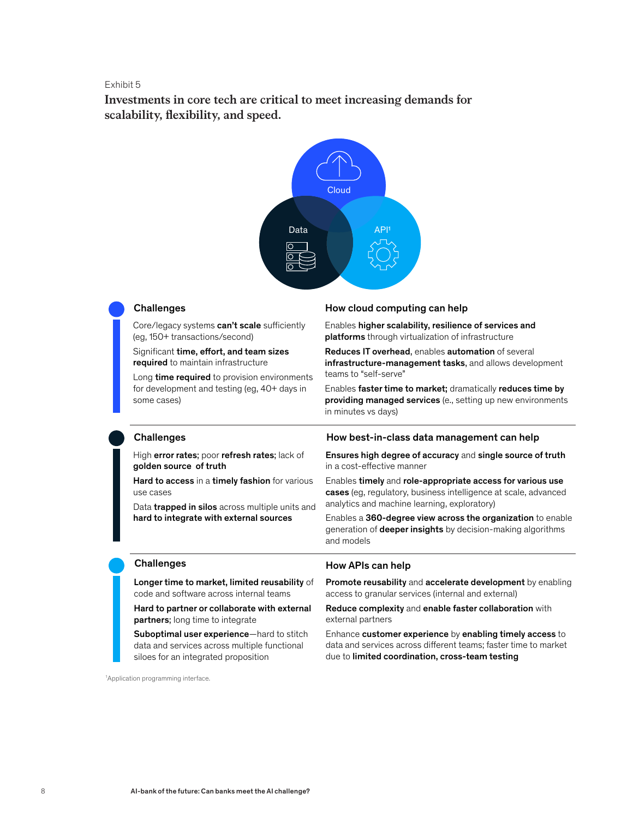**Investments in core tech are critical to meet increasing demands for**  Investments in core tech are critical to meet increasing demands for **scalability, flexibility, and speed.** scalability, exibility, and speed.



Core/legacy systems can't scale sufficiently (eg, 150+ transactions/second)

Significant time, effort, and team sizes required to maintain infrastructure

Long time required to provision environments for development and testing (eg, 40+ days in some cases)

### Challenges How cloud computing can help

Enables higher scalability, resilience of services and platforms through virtualization of infrastructure

Reduces IT overhead, enables automation of several infrastructure-management tasks, and allows development teams to "self-serve"

Enables faster time to market; dramatically reduces time by providing managed services (e., setting up new environments in minutes vs days)

High error rates; poor refresh rates; lack of golden source of truth

Hard to access in a timely fashion for various use cases

Data **trapped in silos** across multiple units and hard to integrate with external sources

### Challenges **Example 2** How best-in-class data management can help

Ensures high degree of accuracy and single source of truth in a cost-effective manner

Enables timely and role-appropriate access for various use cases (eg, regulatory, business intelligence at scale, advanced analytics and machine learning, exploratory)

Enables a 360-degree view across the organization to enable generation of **deeper insights** by decision-making algorithms and models

Longer time to market, limited reusability of code and software across internal teams

Hard to partner or collaborate with external partners; long time to integrate

Suboptimal user experience—hard to stitch data and services across multiple functional siloes for an integrated proposition

1 Application programming interface.

### Challenges **How APIs can help**

Promote reusability and accelerate development by enabling access to granular services (internal and external)

Reduce complexity and enable faster collaboration with external partners

Enhance customer experience by enabling timely access to data and services across different teams; faster time to market due to limited coordination, cross-team testing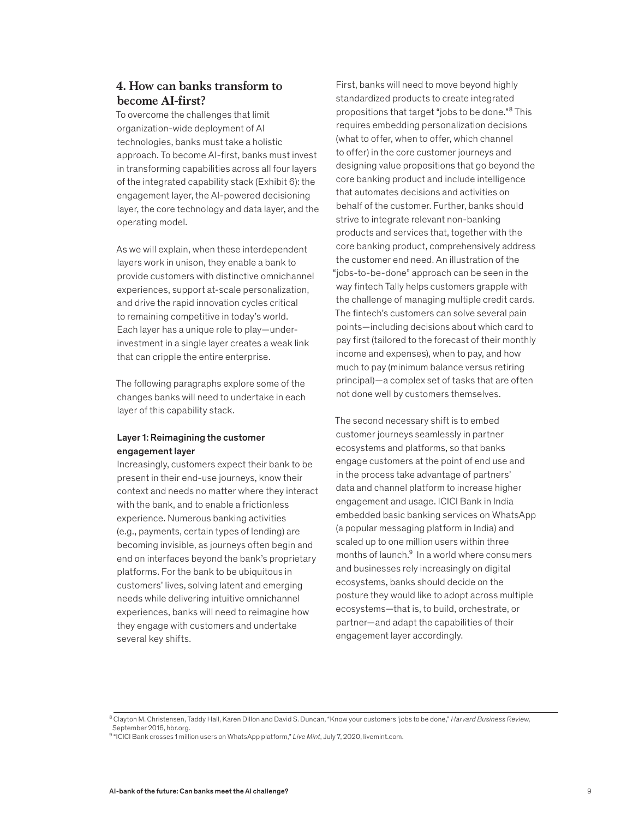# **4. How can banks transform to become AI-first?**

To overcome the challenges that limit organization-wide deployment of AI technologies, banks must take a holistic approach. To become AI-first, banks must invest in transforming capabilities across all four layers of the integrated capability stack (Exhibit 6): the engagement layer, the AI-powered decisioning layer, the core technology and data layer, and the operating model.

As we will explain, when these interdependent layers work in unison, they enable a bank to provide customers with distinctive omnichannel experiences, support at-scale personalization, and drive the rapid innovation cycles critical to remaining competitive in today's world. Each layer has a unique role to play—underinvestment in a single layer creates a weak link that can cripple the entire enterprise.

The following paragraphs explore some of the changes banks will need to undertake in each layer of this capability stack.

### Layer 1: Reimagining the customer engagement layer

Increasingly, customers expect their bank to be present in their end-use journeys, know their context and needs no matter where they interact with the bank, and to enable a frictionless experience. Numerous banking activities (e.g., payments, certain types of lending) are becoming invisible, as journeys often begin and end on interfaces beyond the bank's proprietary platforms. For the bank to be ubiquitous in customers' lives, solving latent and emerging needs while delivering intuitive omnichannel experiences, banks will need to reimagine how they engage with customers and undertake several key shifts.

First, banks will need to move beyond highly standardized products to create integrated propositions that target "jobs to be done."<sup>8</sup> This requires embedding personalization decisions (what to offer, when to offer, which channel to offer) in the core customer journeys and designing value propositions that go beyond the core banking product and include intelligence that automates decisions and activities on behalf of the customer. Further, banks should strive to integrate relevant non-banking products and services that, together with the core banking product, comprehensively address the customer end need. An illustration of the "jobs-to-be-done" approach can be seen in the way fintech Tally helps customers grapple with the challenge of managing multiple credit cards. The fintech's customers can solve several pain points—including decisions about which card to pay first (tailored to the forecast of their monthly income and expenses), when to pay, and how much to pay (minimum balance versus retiring principal)—a complex set of tasks that are often not done well by customers themselves.

The second necessary shift is to embed customer journeys seamlessly in partner ecosystems and platforms, so that banks engage customers at the point of end use and in the process take advantage of partners' data and channel platform to increase higher engagement and usage. ICICI Bank in India embedded basic banking services on WhatsApp (a popular messaging platform in India) and scaled up to one million users within three months of launch.<sup>9</sup> In a world where consumers and businesses rely increasingly on digital ecosystems, banks should decide on the posture they would like to adopt across multiple ecosystems—that is, to build, orchestrate, or partner—and adapt the capabilities of their engagement layer accordingly.

<sup>8</sup> Clayton M. Christensen, Taddy Hall, Karen Dillon and David S. Duncan, "Know your customers 'jobs to be done," *Harvard Business Review,* September 2016, hbr.org.

<sup>9</sup> "ICICI Bank crosses 1 million users on WhatsApp platform," *Live Mint*, July 7, 2020, livemint.com.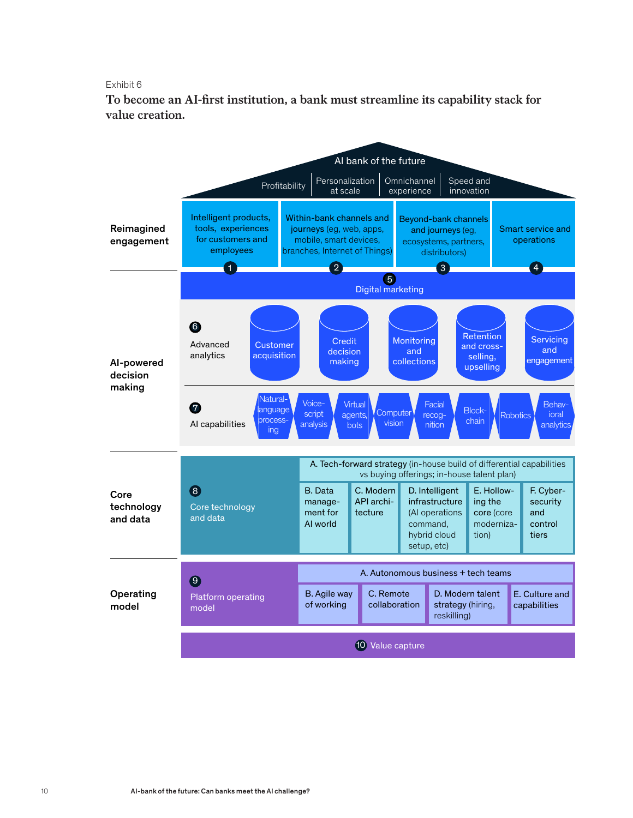To become an AI-first institution, a bank must streamline its capability stack for **value creation.** for value creation.

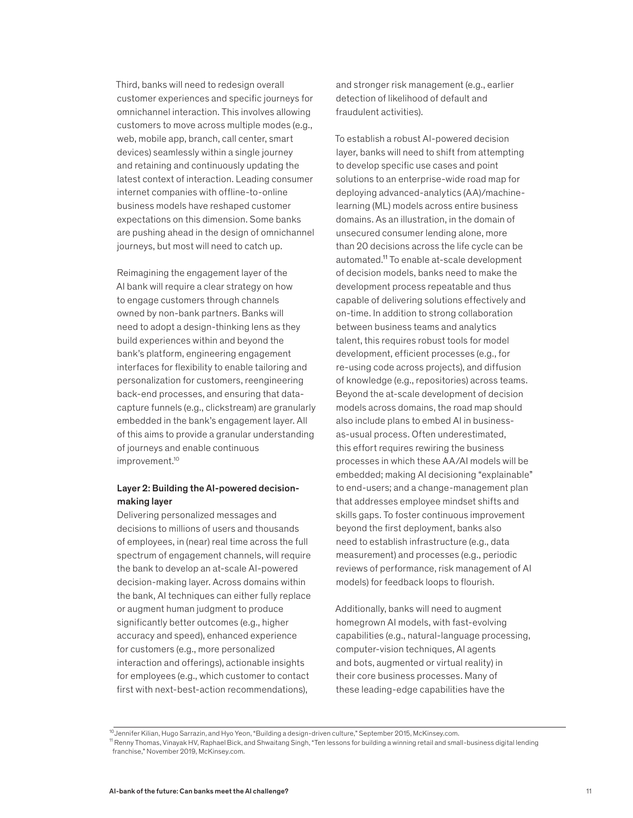Third, banks will need to redesign overall customer experiences and specific journeys for omnichannel interaction. This involves allowing customers to move across multiple modes (e.g., web, mobile app, branch, call center, smart devices) seamlessly within a single journey and retaining and continuously updating the latest context of interaction. Leading consumer internet companies with offline-to-online business models have reshaped customer expectations on this dimension. Some banks are pushing ahead in the design of omnichannel journeys, but most will need to catch up.

Reimagining the engagement layer of the AI bank will require a clear strategy on how to engage customers through channels owned by non-bank partners. Banks will need to adopt a design-thinking lens as they build experiences within and beyond the bank's platform, engineering engagement interfaces for flexibility to enable tailoring and personalization for customers, reengineering back-end processes, and ensuring that datacapture funnels (e.g., clickstream) are granularly embedded in the bank's engagement layer. All of this aims to provide a granular understanding of journeys and enable continuous improvement.<sup>10</sup>

# Layer 2: Building the AI-powered decisionmaking layer

Delivering personalized messages and decisions to millions of users and thousands of employees, in (near) real time across the full spectrum of engagement channels, will require the bank to develop an at-scale AI-powered decision-making layer. Across domains within the bank, AI techniques can either fully replace or augment human judgment to produce significantly better outcomes (e.g., higher accuracy and speed), enhanced experience for customers (e.g., more personalized interaction and offerings), actionable insights for employees (e.g., which customer to contact first with next-best-action recommendations),

and stronger risk management (e.g., earlier detection of likelihood of default and fraudulent activities).

To establish a robust AI-powered decision layer, banks will need to shift from attempting to develop specific use cases and point solutions to an enterprise-wide road map for deploying advanced-analytics (AA)/machinelearning (ML) models across entire business domains. As an illustration, in the domain of unsecured consumer lending alone, more than 20 decisions across the life cycle can be automated.11 To enable at-scale development of decision models, banks need to make the development process repeatable and thus capable of delivering solutions effectively and on-time. In addition to strong collaboration between business teams and analytics talent, this requires robust tools for model development, efficient processes (e.g., for re-using code across projects), and diffusion of knowledge (e.g., repositories) across teams. Beyond the at-scale development of decision models across domains, the road map should also include plans to embed AI in businessas-usual process. Often underestimated, this effort requires rewiring the business processes in which these AA/AI models will be embedded; making AI decisioning "explainable" to end-users; and a change-management plan that addresses employee mindset shifts and skills gaps. To foster continuous improvement beyond the first deployment, banks also need to establish infrastructure (e.g., data measurement) and processes (e.g., periodic reviews of performance, risk management of AI models) for feedback loops to flourish.

Additionally, banks will need to augment homegrown AI models, with fast-evolving capabilities (e.g., natural-language processing, computer-vision techniques, AI agents and bots, augmented or virtual reality) in their core business processes. Many of these leading-edge capabilities have the

<sup>10</sup>Jennifer Kilian, Hugo Sarrazin, and Hyo Yeon, "Building a design-driven culture," September 2015, McKinsey.com.

<sup>11</sup> Renny Thomas, Vinayak HV, Raphael Bick, and Shwaitang Singh, "Ten lessons for building a winning retail and small-business digital lending franchise," November 2019, McKinsey.com.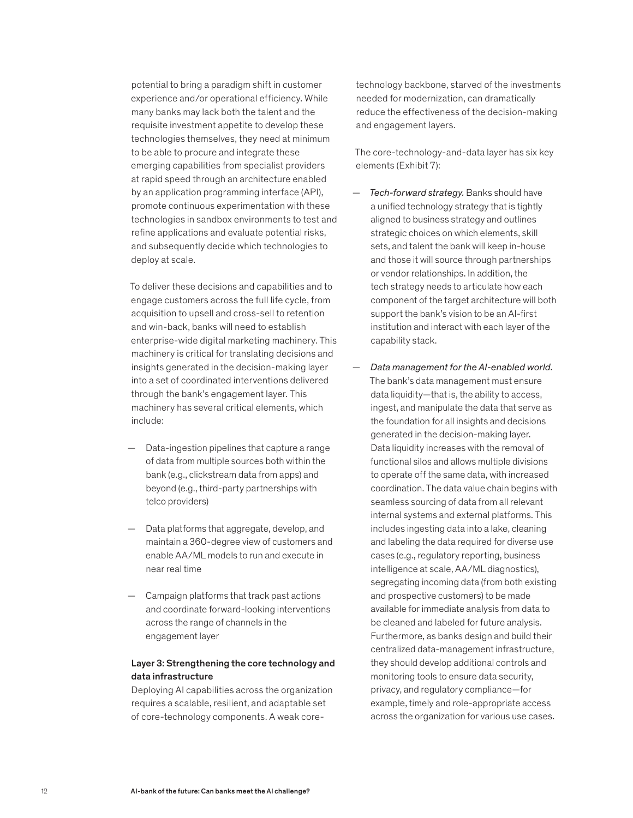potential to bring a paradigm shift in customer experience and/or operational efficiency. While many banks may lack both the talent and the requisite investment appetite to develop these technologies themselves, they need at minimum to be able to procure and integrate these emerging capabilities from specialist providers at rapid speed through an architecture enabled by an application programming interface (API), promote continuous experimentation with these technologies in sandbox environments to test and refine applications and evaluate potential risks, and subsequently decide which technologies to deploy at scale.

To deliver these decisions and capabilities and to engage customers across the full life cycle, from acquisition to upsell and cross-sell to retention and win-back, banks will need to establish enterprise-wide digital marketing machinery. This machinery is critical for translating decisions and insights generated in the decision-making layer into a set of coordinated interventions delivered through the bank's engagement layer. This machinery has several critical elements, which include:

- Data-ingestion pipelines that capture a range of data from multiple sources both within the bank (e.g., clickstream data from apps) and beyond (e.g., third-party partnerships with telco providers)
- Data platforms that aggregate, develop, and maintain a 360-degree view of customers and enable AA/ML models to run and execute in near real time
- Campaign platforms that track past actions and coordinate forward-looking interventions across the range of channels in the engagement layer

# Layer 3: Strengthening the core technology and data infrastructure

Deploying AI capabilities across the organization requires a scalable, resilient, and adaptable set of core-technology components. A weak coretechnology backbone, starved of the investments needed for modernization, can dramatically reduce the effectiveness of the decision-making and engagement layers.

The core-technology-and-data layer has six key elements (Exhibit 7):

- *Tech-forward strategy.* Banks should have a unified technology strategy that is tightly aligned to business strategy and outlines strategic choices on which elements, skill sets, and talent the bank will keep in-house and those it will source through partnerships or vendor relationships. In addition, the tech strategy needs to articulate how each component of the target architecture will both support the bank's vision to be an AI-first institution and interact with each layer of the capability stack.
- *Data management for the AI-enabled world.*  The bank's data management must ensure data liquidity—that is, the ability to access, ingest, and manipulate the data that serve as the foundation for all insights and decisions generated in the decision-making layer. Data liquidity increases with the removal of functional silos and allows multiple divisions to operate off the same data, with increased coordination. The data value chain begins with seamless sourcing of data from all relevant internal systems and external platforms. This includes ingesting data into a lake, cleaning and labeling the data required for diverse use cases (e.g., regulatory reporting, business intelligence at scale, AA/ML diagnostics), segregating incoming data (from both existing and prospective customers) to be made available for immediate analysis from data to be cleaned and labeled for future analysis. Furthermore, as banks design and build their centralized data-management infrastructure, they should develop additional controls and monitoring tools to ensure data security, privacy, and regulatory compliance—for example, timely and role-appropriate access across the organization for various use cases.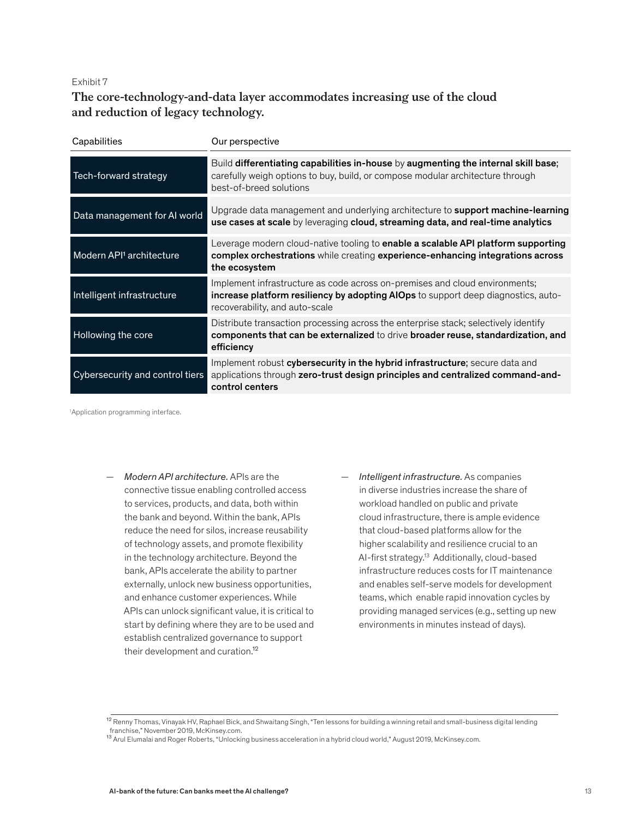# **The core-technology-and-data layer accommodates increasing use of the cloud**  The core-technology-and-data layer accommodates increasing use of the and reduction of legacy technology.

| Capabilities                         | Our perspective                                                                                                                                                                                    |
|--------------------------------------|----------------------------------------------------------------------------------------------------------------------------------------------------------------------------------------------------|
| Tech-forward strategy                | Build differentiating capabilities in-house by augmenting the internal skill base;<br>carefully weigh options to buy, build, or compose modular architecture through<br>best-of-breed solutions    |
| Data management for AI world         | Upgrade data management and underlying architecture to <b>support machine-learning</b><br>use cases at scale by leveraging cloud, streaming data, and real-time analytics                          |
| Modern API <sup>1</sup> architecture | Leverage modern cloud-native tooling to <b>enable a scalable API platform supporting</b><br>complex orchestrations while creating experience-enhancing integrations across<br>the ecosystem        |
| Intelligent infrastructure           | Implement infrastructure as code across on-premises and cloud environments;<br>increase platform resiliency by adopting AIOps to support deep diagnostics, auto-<br>recoverability, and auto-scale |
| Hollowing the core                   | Distribute transaction processing across the enterprise stack; selectively identify<br>components that can be externalized to drive broader reuse, standardization, and<br>efficiency              |
| Cybersecurity and control tiers      | Implement robust cybersecurity in the hybrid infrastructure; secure data and<br>applications through zero-trust design principles and centralized command-and-<br>control centers                  |

1 Application programming interface.

- *Modern API architecture.* APIs are the connective tissue enabling controlled access to services, products, and data, both within the bank and beyond. Within the bank, APIs reduce the need for silos, increase reusability of technology assets, and promote flexibility in the technology architecture. Beyond the bank, APIs accelerate the ability to partner externally, unlock new business opportunities, and enhance customer experiences. While APIs can unlock significant value, it is critical to start by defining where they are to be used and establish centralized governance to support their development and curation.<sup>12</sup>
- *Intelligent infrastructure.* As companies in diverse industries increase the share of workload handled on public and private cloud infrastructure, there is ample evidence that cloud-based platforms allow for the higher scalability and resilience crucial to an AI-first strategy.13 Additionally, cloud-based infrastructure reduces costs for IT maintenance and enables self-serve models for development teams, which enable rapid innovation cycles by providing managed services (e.g., setting up new environments in minutes instead of days).

 $^{12}$  Renny Thomas, Vinayak HV, Raphael Bick, and Shwaitang Singh, "Ten lessons for building a winning retail and small-business digital lending franchise," November 2019, McKinsey.com.<br><sup>13</sup> Arul Elumalai and Roger Roberts, "Unlocking business acceleration in a hybrid cloud world," August 2019, McKinsey.com.